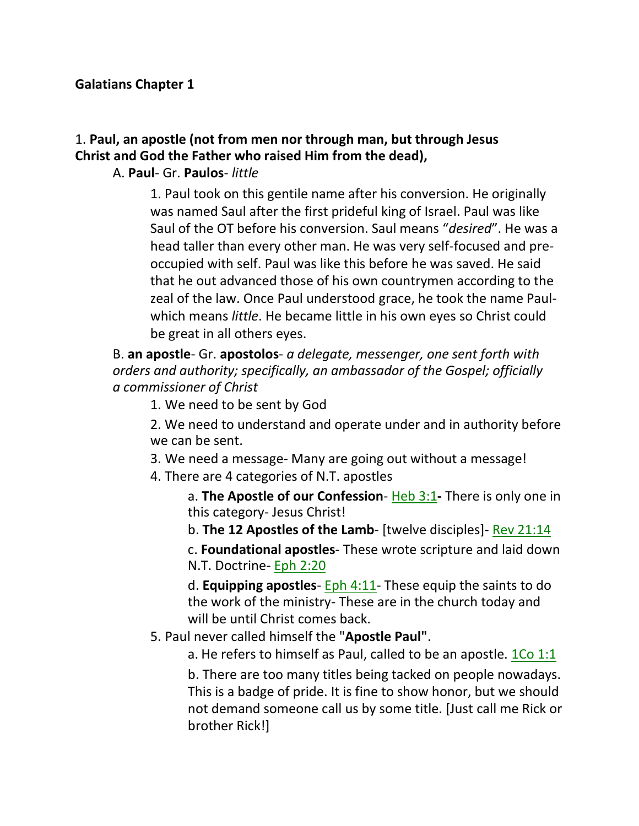#### **Galatians Chapter 1**

### 1. **Paul, an apostle (not from men nor through man, but through Jesus Christ and God the Father who raised Him from the dead),**

#### A. **Paul**- Gr. **Paulos**- *little*

1. Paul took on this gentile name after his conversion. He originally was named Saul after the first prideful king of Israel. Paul was like Saul of the OT before his conversion. Saul means "*desired*". He was a head taller than every other man. He was very self-focused and preoccupied with self. Paul was like this before he was saved. He said that he out advanced those of his own countrymen according to the zeal of the law. Once Paul understood grace, he took the name Paulwhich means *little*. He became little in his own eyes so Christ could be great in all others eyes.

B. **an apostle**- Gr. **apostolos**- *a delegate, messenger, one sent forth with orders and authority; specifically, an ambassador of the Gospel; officially a commissioner of Christ*

1. We need to be sent by God

2. We need to understand and operate under and in authority before we can be sent.

3. We need a message- Many are going out without a message!

4. There are 4 categories of N.T. apostles

a. **The Apostle of our Confession**- Heb 3:1**-** There is only one in this category- Jesus Christ!

b. **The 12 Apostles of the Lamb**- [twelve disciples]- Rev 21:14

c. **Foundational apostles**- These wrote scripture and laid down N.T. Doctrine- Eph 2:20

d. **Equipping apostles**- Eph 4:11- These equip the saints to do the work of the ministry- These are in the church today and will be until Christ comes back.

5. Paul never called himself the "**Apostle Paul"**.

a. He refers to himself as Paul, called to be an apostle. 1Co 1:1

b. There are too many titles being tacked on people nowadays. This is a badge of pride. It is fine to show honor, but we should not demand someone call us by some title. [Just call me Rick or brother Rick!]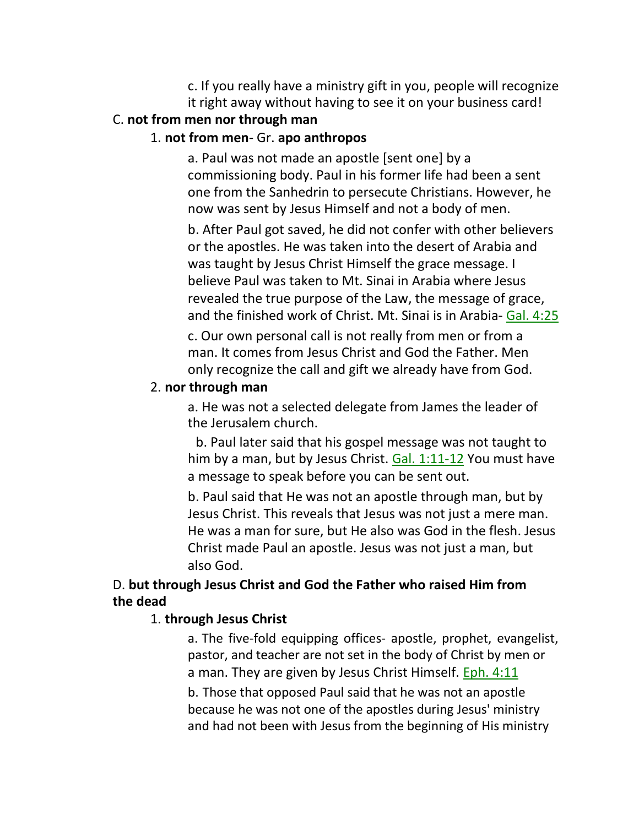c. If you really have a ministry gift in you, people will recognize it right away without having to see it on your business card!

#### C. **not from men nor through man**

#### 1. **not from men**- Gr. **apo anthropos**

a. Paul was not made an apostle [sent one] by a commissioning body. Paul in his former life had been a sent one from the Sanhedrin to persecute Christians. However, he now was sent by Jesus Himself and not a body of men.

b. After Paul got saved, he did not confer with other believers or the apostles. He was taken into the desert of Arabia and was taught by Jesus Christ Himself the grace message. I believe Paul was taken to Mt. Sinai in Arabia where Jesus revealed the true purpose of the Law, the message of grace, and the finished work of Christ. Mt. Sinai is in Arabia- Gal. 4:25

c. Our own personal call is not really from men or from a man. It comes from Jesus Christ and God the Father. Men only recognize the call and gift we already have from God.

#### 2. **nor through man**

a. He was not a selected delegate from James the leader of the Jerusalem church.

b. Paul later said that his gospel message was not taught to him by a man, but by Jesus Christ. Gal. 1:11-12 You must have a message to speak before you can be sent out.

b. Paul said that He was not an apostle through man, but by Jesus Christ. This reveals that Jesus was not just a mere man. He was a man for sure, but He also was God in the flesh. Jesus Christ made Paul an apostle. Jesus was not just a man, but also God.

#### D. **but through Jesus Christ and God the Father who raised Him from the dead**

#### 1. **through Jesus Christ**

a. The five-fold equipping offices- apostle, prophet, evangelist, pastor, and teacher are not set in the body of Christ by men or a man. They are given by Jesus Christ Himself. Eph. 4:11

b. Those that opposed Paul said that he was not an apostle because he was not one of the apostles during Jesus' ministry and had not been with Jesus from the beginning of His ministry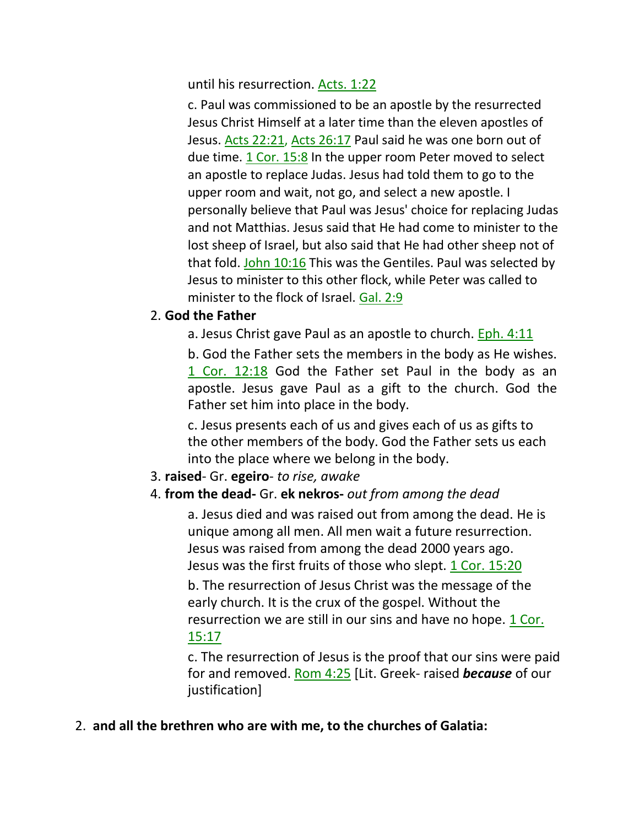until his resurrection. Acts. 1:22

c. Paul was commissioned to be an apostle by the resurrected Jesus Christ Himself at a later time than the eleven apostles of Jesus. Acts 22:21, Acts 26:17 Paul said he was one born out of due time. 1 Cor. 15:8 In the upper room Peter moved to select an apostle to replace Judas. Jesus had told them to go to the upper room and wait, not go, and select a new apostle. I personally believe that Paul was Jesus' choice for replacing Judas and not Matthias. Jesus said that He had come to minister to the lost sheep of Israel, but also said that He had other sheep not of that fold. John 10:16 This was the Gentiles. Paul was selected by Jesus to minister to this other flock, while Peter was called to minister to the flock of Israel. Gal. 2:9

#### 2. **God the Father**

a. Jesus Christ gave Paul as an apostle to church.  $Eph. 4:11$ 

b. God the Father sets the members in the body as He wishes. 1 Cor. 12:18 God the Father set Paul in the body as an apostle. Jesus gave Paul as a gift to the church. God the Father set him into place in the body.

c. Jesus presents each of us and gives each of us as gifts to the other members of the body. God the Father sets us each into the place where we belong in the body.

#### 3. **raised**- Gr. **egeiro**- *to rise, awake*

### 4. **from the dead-** Gr. **ek nekros-** *out from among the dead*

a. Jesus died and was raised out from among the dead. He is unique among all men. All men wait a future resurrection. Jesus was raised from among the dead 2000 years ago. Jesus was the first fruits of those who slept. 1 Cor. 15:20

b. The resurrection of Jesus Christ was the message of the early church. It is the crux of the gospel. Without the resurrection we are still in our sins and have no hope. 1 Cor. 15:17

c. The resurrection of Jesus is the proof that our sins were paid for and removed. Rom 4:25 [Lit. Greek- raised *because* of our justification]

2. **and all the brethren who are with me, to the churches of Galatia:**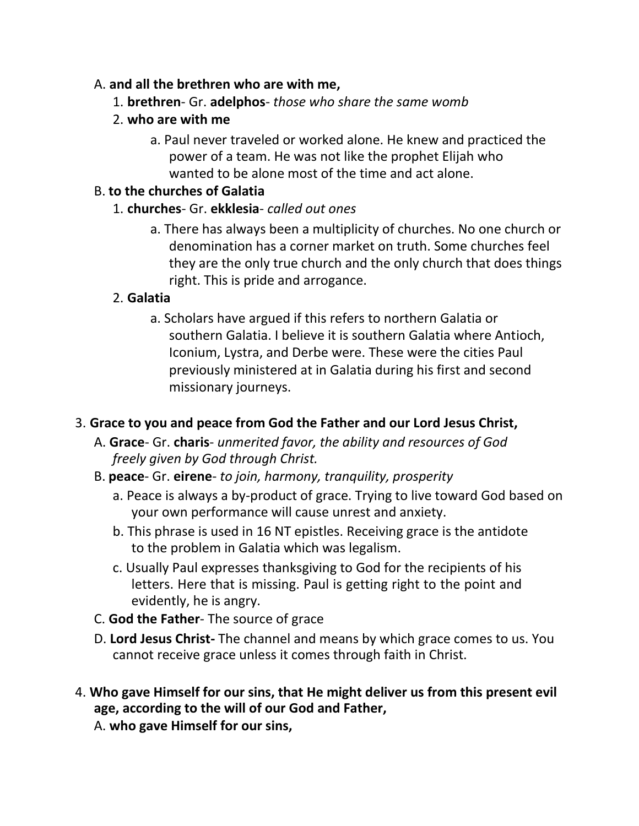### A. **and all the brethren who are with me,**

- 1. **brethren** Gr. **adelphos** *those who share the same womb*
- 2. **who are with me**
	- a. Paul never traveled or worked alone. He knew and practiced the power of a team. He was not like the prophet Elijah who wanted to be alone most of the time and act alone.

### B. **to the churches of Galatia**

- 1. **churches** Gr. **ekklesia** *called out ones*
	- a. There has always been a multiplicity of churches. No one church or denomination has a corner market on truth. Some churches feel they are the only true church and the only church that does things right. This is pride and arrogance.

## 2. **Galatia**

a. Scholars have argued if this refers to northern Galatia or southern Galatia. I believe it is southern Galatia where Antioch, Iconium, Lystra, and Derbe were. These were the cities Paul previously ministered at in Galatia during his first and second missionary journeys.

## 3. **Grace to you and peace from God the Father and our Lord Jesus Christ,**

- A. **Grace** Gr. **charis** *unmerited favor, the ability and resources of God freely given by God through Christ.*
- B. **peace** Gr. **eirene** *to join, harmony, tranquility, prosperity*
	- a. Peace is always a by-product of grace. Trying to live toward God based on your own performance will cause unrest and anxiety.
	- b. This phrase is used in 16 NT epistles. Receiving grace is the antidote to the problem in Galatia which was legalism.
	- c. Usually Paul expresses thanksgiving to God for the recipients of his letters. Here that is missing. Paul is getting right to the point and evidently, he is angry.
- C. **God the Father** The source of grace
- D. **Lord Jesus Christ-** The channel and means by which grace comes to us. You cannot receive grace unless it comes through faith in Christ.
- 4. **Who gave Himself for our sins, that He might deliver us from this present evil age, according to the will of our God and Father,**

A. **who gave Himself for our sins,**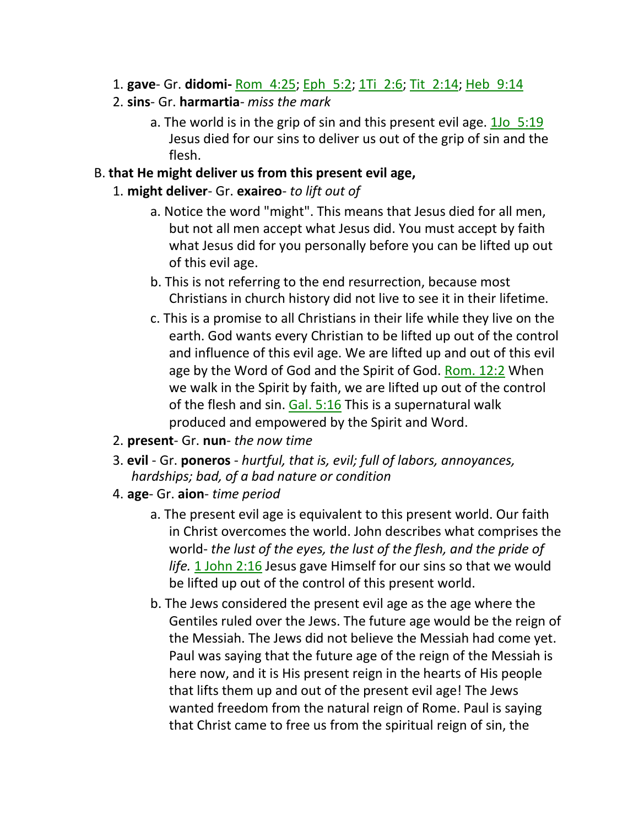- 1. **gave** Gr. **didomi-** Rom\_4:25; Eph\_5:2; 1Ti\_2:6; Tit\_2:14; Heb\_9:14
- 2. **sins** Gr. **harmartia** *miss the mark*
	- a. The world is in the grip of sin and this present evil age. 1Jo 5:19 Jesus died for our sins to deliver us out of the grip of sin and the flesh.
- B. **that He might deliver us from this present evil age,**
	- 1. **might deliver** Gr. **exaireo** *to lift out of*
		- a. Notice the word "might". This means that Jesus died for all men, but not all men accept what Jesus did. You must accept by faith what Jesus did for you personally before you can be lifted up out of this evil age.
		- b. This is not referring to the end resurrection, because most Christians in church history did not live to see it in their lifetime.
		- c. This is a promise to all Christians in their life while they live on the earth. God wants every Christian to be lifted up out of the control and influence of this evil age. We are lifted up and out of this evil age by the Word of God and the Spirit of God. Rom. 12:2 When we walk in the Spirit by faith, we are lifted up out of the control of the flesh and sin. Gal. 5:16 This is a supernatural walk produced and empowered by the Spirit and Word.
	- 2. **present** Gr. **nun** *the now time*
	- 3. **evil**  Gr. **poneros**  *hurtful, that is, evil; full of labors, annoyances, hardships; bad, of a bad nature or condition*
	- 4. **age** Gr. **aion** *time period*
		- a. The present evil age is equivalent to this present world. Our faith in Christ overcomes the world. John describes what comprises the world- *the lust of the eyes, the lust of the flesh, and the pride of* life. 1 John 2:16 Jesus gave Himself for our sins so that we would be lifted up out of the control of this present world.
		- b. The Jews considered the present evil age as the age where the Gentiles ruled over the Jews. The future age would be the reign of the Messiah. The Jews did not believe the Messiah had come yet. Paul was saying that the future age of the reign of the Messiah is here now, and it is His present reign in the hearts of His people that lifts them up and out of the present evil age! The Jews wanted freedom from the natural reign of Rome. Paul is saying that Christ came to free us from the spiritual reign of sin, the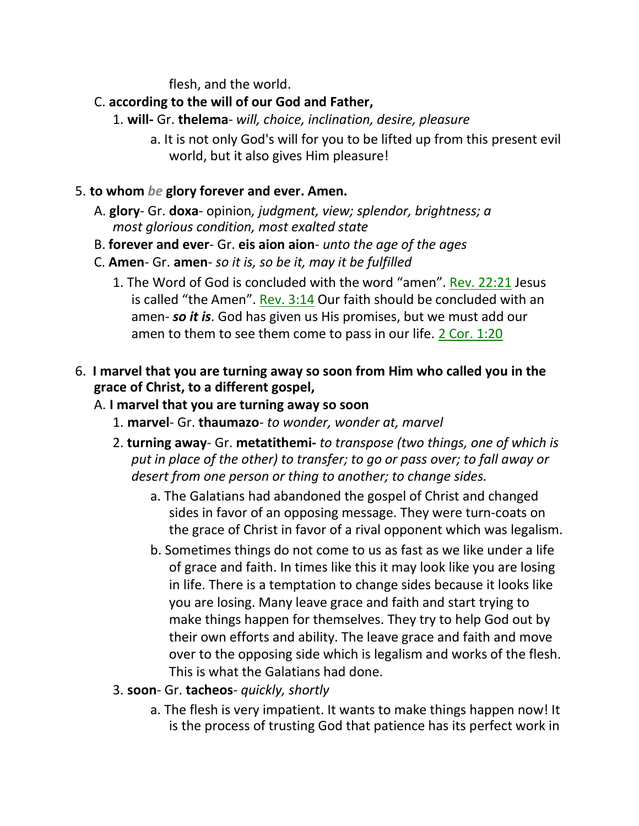flesh, and the world.

- C. **according to the will of our God and Father,**
	- 1. **will-** Gr. **thelema** *will, choice, inclination, desire, pleasure*
		- a. It is not only God's will for you to be lifted up from this present evil world, but it also gives Him pleasure!
- 5. **to whom** *be* **glory forever and ever. Amen.**
	- A. **glory** Gr. **doxa** opinion*, judgment, view; splendor, brightness; a most glorious condition, most exalted state*
	- B. **forever and ever** Gr. **eis aion aion** *unto the age of the ages*
	- C. **Amen** Gr. **amen** *so it is, so be it, may it be fulfilled*
		- 1. The Word of God is concluded with the word "amen". Rev. 22:21 Jesus is called "the Amen". Rev. 3:14 Our faith should be concluded with an amen- *so it is*. God has given us His promises, but we must add our amen to them to see them come to pass in our life. 2 Cor. 1:20
- 6. **I marvel that you are turning away so soon from Him who called you in the grace of Christ, to a different gospel,**
	- A. **I marvel that you are turning away so soon**
		- 1. **marvel** Gr. **thaumazo** *to wonder, wonder at, marvel*
		- 2. **turning away** Gr. **metatithemi-** *to transpose (two things, one of which is put in place of the other) to transfer; to go or pass over; to fall away or desert from one person or thing to another; to change sides.*
			- a. The Galatians had abandoned the gospel of Christ and changed sides in favor of an opposing message. They were turn-coats on the grace of Christ in favor of a rival opponent which was legalism.
			- b. Sometimes things do not come to us as fast as we like under a life of grace and faith. In times like this it may look like you are losing in life. There is a temptation to change sides because it looks like you are losing. Many leave grace and faith and start trying to make things happen for themselves. They try to help God out by their own efforts and ability. The leave grace and faith and move over to the opposing side which is legalism and works of the flesh. This is what the Galatians had done.
		- 3. **soon** Gr. **tacheos** *quickly, shortly*
			- a. The flesh is very impatient. It wants to make things happen now! It is the process of trusting God that patience has its perfect work in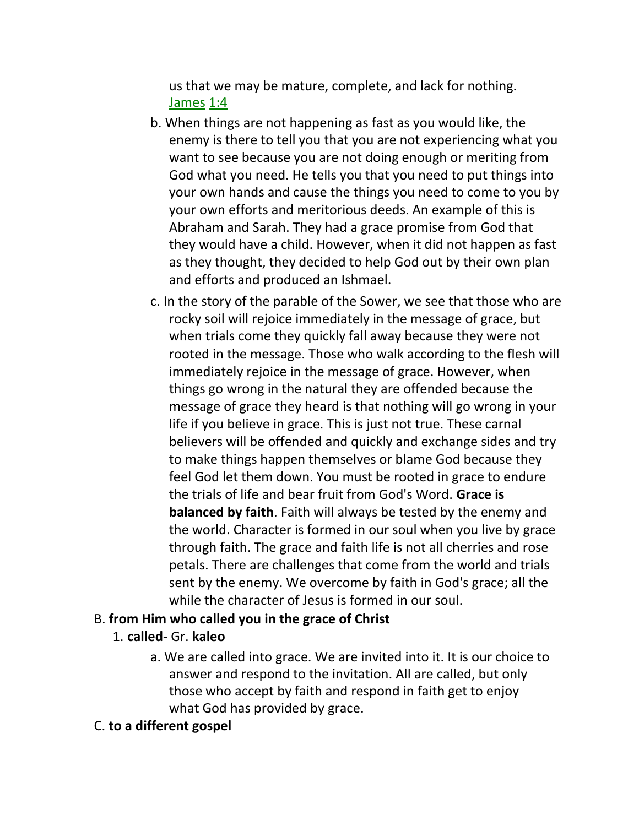us that we may be mature, complete, and lack for nothing. James 1:4

- b. When things are not happening as fast as you would like, the enemy is there to tell you that you are not experiencing what you want to see because you are not doing enough or meriting from God what you need. He tells you that you need to put things into your own hands and cause the things you need to come to you by your own efforts and meritorious deeds. An example of this is Abraham and Sarah. They had a grace promise from God that they would have a child. However, when it did not happen as fast as they thought, they decided to help God out by their own plan and efforts and produced an Ishmael.
- c. In the story of the parable of the Sower, we see that those who are rocky soil will rejoice immediately in the message of grace, but when trials come they quickly fall away because they were not rooted in the message. Those who walk according to the flesh will immediately rejoice in the message of grace. However, when things go wrong in the natural they are offended because the message of grace they heard is that nothing will go wrong in your life if you believe in grace. This is just not true. These carnal believers will be offended and quickly and exchange sides and try to make things happen themselves or blame God because they feel God let them down. You must be rooted in grace to endure the trials of life and bear fruit from God's Word. **Grace is balanced by faith**. Faith will always be tested by the enemy and the world. Character is formed in our soul when you live by grace through faith. The grace and faith life is not all cherries and rose petals. There are challenges that come from the world and trials sent by the enemy. We overcome by faith in God's grace; all the while the character of Jesus is formed in our soul.

#### B. **from Him who called you in the grace of Christ**

- 1. **called** Gr. **kaleo**
	- a. We are called into grace. We are invited into it. It is our choice to answer and respond to the invitation. All are called, but only those who accept by faith and respond in faith get to enjoy what God has provided by grace.
- C. **to a different gospel**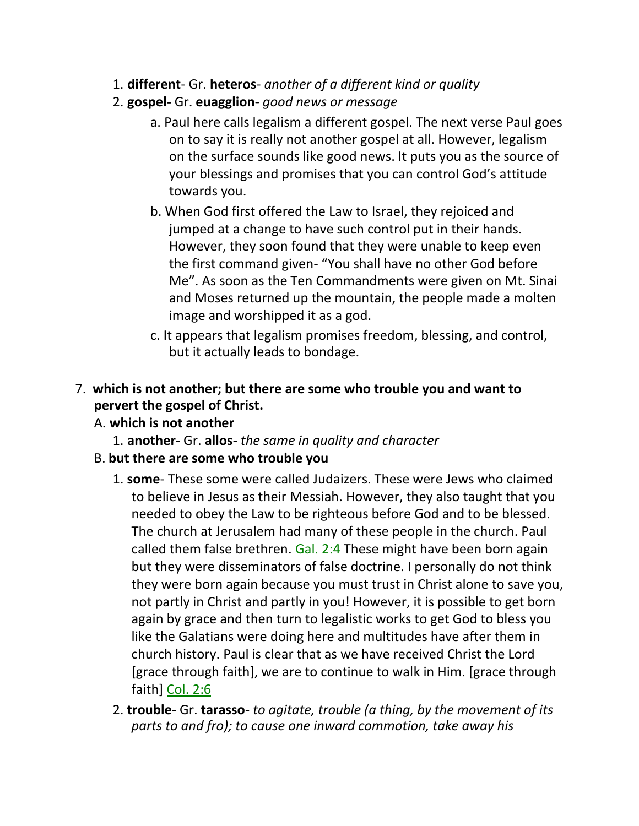- 1. **different** Gr. **heteros** *another of a different kind or quality*
- 2. **gospel-** Gr. **euagglion** *good news or message*
	- a. Paul here calls legalism a different gospel. The next verse Paul goes on to say it is really not another gospel at all. However, legalism on the surface sounds like good news. It puts you as the source of your blessings and promises that you can control God's attitude towards you.
	- b. When God first offered the Law to Israel, they rejoiced and jumped at a change to have such control put in their hands. However, they soon found that they were unable to keep even the first command given- "You shall have no other God before Me". As soon as the Ten Commandments were given on Mt. Sinai and Moses returned up the mountain, the people made a molten image and worshipped it as a god.
	- c. It appears that legalism promises freedom, blessing, and control, but it actually leads to bondage.
- 7. **which is not another; but there are some who trouble you and want to pervert the gospel of Christ.**
	- A. **which is not another**
		- 1. **another-** Gr. **allos** *the same in quality and character*
	- B. **but there are some who trouble you**
		- 1. **some** These some were called Judaizers. These were Jews who claimed to believe in Jesus as their Messiah. However, they also taught that you needed to obey the Law to be righteous before God and to be blessed. The church at Jerusalem had many of these people in the church. Paul called them false brethren. Gal. 2:4 These might have been born again but they were disseminators of false doctrine. I personally do not think they were born again because you must trust in Christ alone to save you, not partly in Christ and partly in you! However, it is possible to get born again by grace and then turn to legalistic works to get God to bless you like the Galatians were doing here and multitudes have after them in church history. Paul is clear that as we have received Christ the Lord [grace through faith], we are to continue to walk in Him. [grace through faith] Col. 2:6
		- 2. **trouble** Gr. **tarasso** *to agitate, trouble (a thing, by the movement of its parts to and fro); to cause one inward commotion, take away his*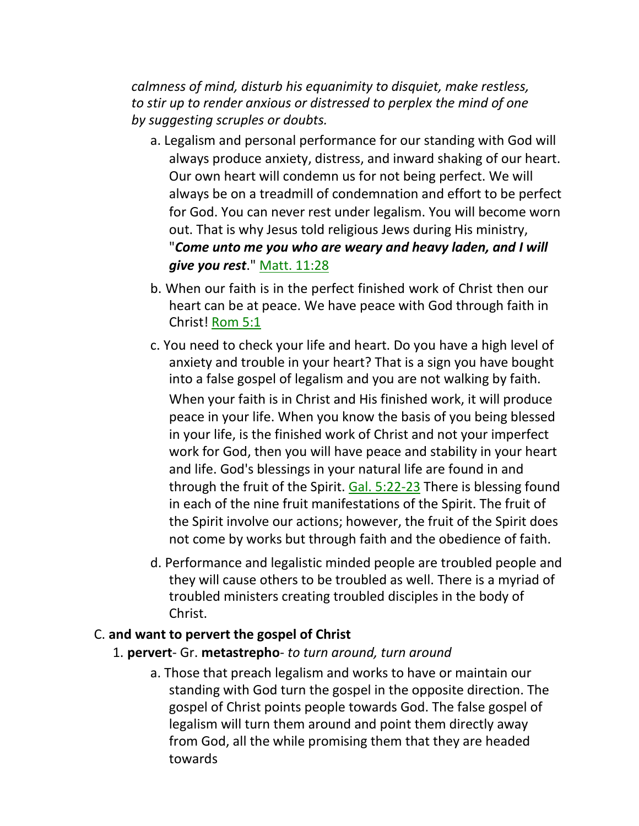*calmness of mind, disturb his equanimity to disquiet, make restless, to stir up to render anxious or distressed to perplex the mind of one by suggesting scruples or doubts.*

- a. Legalism and personal performance for our standing with God will always produce anxiety, distress, and inward shaking of our heart. Our own heart will condemn us for not being perfect. We will always be on a treadmill of condemnation and effort to be perfect for God. You can never rest under legalism. You will become worn out. That is why Jesus told religious Jews during His ministry, "*Come unto me you who are weary and heavy laden, and I will give you rest*." Matt. 11:28
- b. When our faith is in the perfect finished work of Christ then our heart can be at peace. We have peace with God through faith in Christ! Rom 5:1
- c. You need to check your life and heart. Do you have a high level of anxiety and trouble in your heart? That is a sign you have bought into a false gospel of legalism and you are not walking by faith.

When your faith is in Christ and His finished work, it will produce peace in your life. When you know the basis of you being blessed in your life, is the finished work of Christ and not your imperfect work for God, then you will have peace and stability in your heart and life. God's blessings in your natural life are found in and through the fruit of the Spirit. Gal. 5:22-23 There is blessing found in each of the nine fruit manifestations of the Spirit. The fruit of the Spirit involve our actions; however, the fruit of the Spirit does not come by works but through faith and the obedience of faith.

d. Performance and legalistic minded people are troubled people and they will cause others to be troubled as well. There is a myriad of troubled ministers creating troubled disciples in the body of Christ.

#### C. **and want to pervert the gospel of Christ**

- 1. **pervert** Gr. **metastrepho** *to turn around, turn around*
	- a. Those that preach legalism and works to have or maintain our standing with God turn the gospel in the opposite direction. The gospel of Christ points people towards God. The false gospel of legalism will turn them around and point them directly away from God, all the while promising them that they are headed towards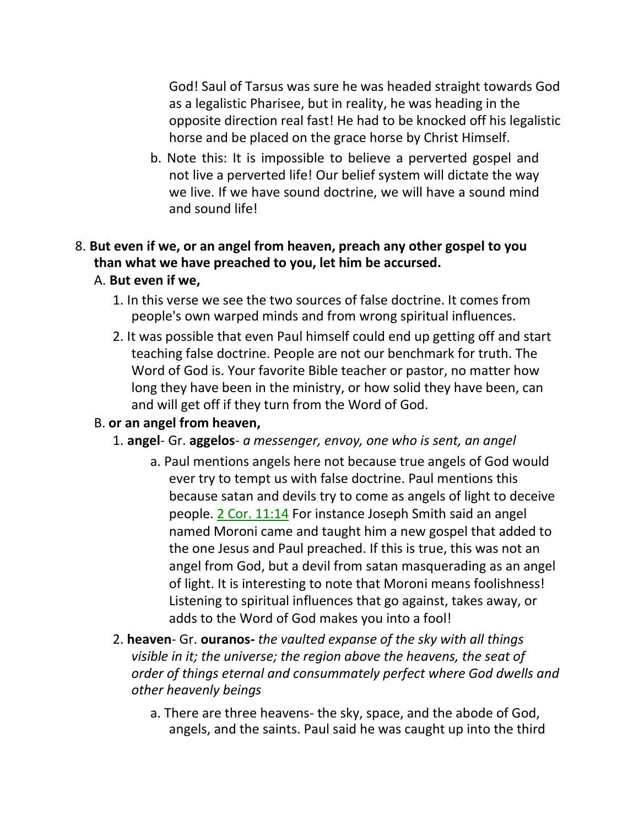God! Saul of Tarsus was sure he was headed straight towards God as a legalistic Pharisee, but in reality, he was heading in the opposite direction real fast! He had to be knocked off his legalistic horse and be placed on the grace horse by Christ Himself.

b. Note this: It is impossible to believe a perverted gospel and not live a perverted life! Our belief system will dictate the way we live. If we have sound doctrine, we will have a sound mind and sound life!

# 8. **But even if we, or an angel from heaven, preach any other gospel to you than what we have preached to you, let him be accursed.**

#### A. **But even if we,**

- 1. In this verse we see the two sources of false doctrine. It comes from people's own warped minds and from wrong spiritual influences.
- 2. It was possible that even Paul himself could end up getting off and start teaching false doctrine. People are not our benchmark for truth. The Word of God is. Your favorite Bible teacher or pastor, no matter how long they have been in the ministry, or how solid they have been, can and will get off if they turn from the Word of God.

### B. **or an angel from heaven,**

- 1. **angel** Gr. **aggelos** *a messenger, envoy, one who is sent, an angel*
	- a. Paul mentions angels here not because true angels of God would ever try to tempt us with false doctrine. Paul mentions this because satan and devils try to come as angels of light to deceive people. 2 Cor. 11:14 For instance Joseph Smith said an angel named Moroni came and taught him a new gospel that added to the one Jesus and Paul preached. If this is true, this was not an angel from God, but a devil from satan masquerading as an angel of light. It is interesting to note that Moroni means foolishness! Listening to spiritual influences that go against, takes away, or adds to the Word of God makes you into a fool!
- 2. **heaven** Gr. **ouranos-** *the vaulted expanse of the sky with all things visible in it; the universe; the region above the heavens, the seat of order of things eternal and consummately perfect where God dwells and other heavenly beings*
	- a. There are three heavens- the sky, space, and the abode of God, angels, and the saints. Paul said he was caught up into the third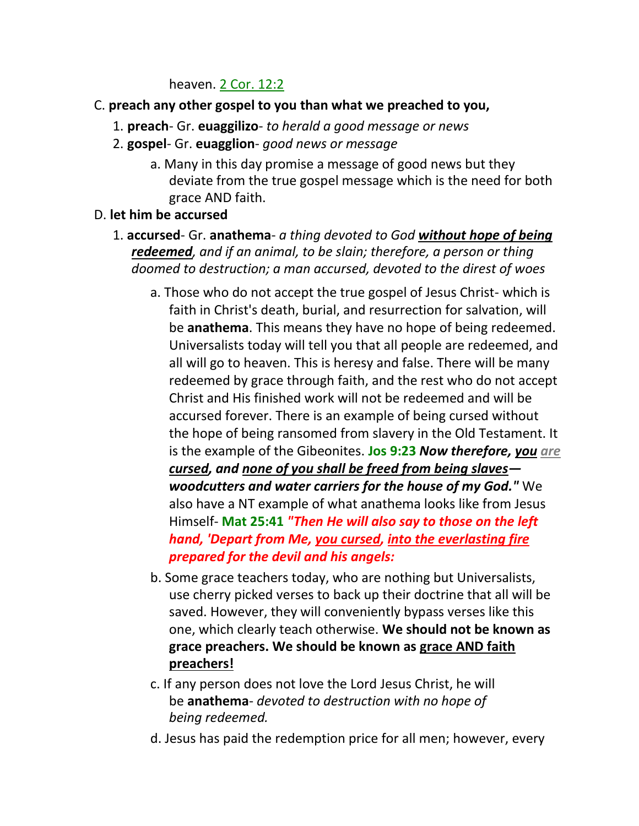heaven. 2 Cor. 12:2

- C. **preach any other gospel to you than what we preached to you,**
	- 1. **preach** Gr. **euaggilizo** *to herald a good message or news*
	- 2. **gospel** Gr. **euagglion** *good news or message*
		- a. Many in this day promise a message of good news but they deviate from the true gospel message which is the need for both grace AND faith.
- D. **let him be accursed**
	- 1. **accursed** Gr. **anathema** *a thing devoted to God without hope of being redeemed, and if an animal, to be slain; therefore, a person or thing doomed to destruction; a man accursed, devoted to the direst of woes*
		- a. Those who do not accept the true gospel of Jesus Christ- which is faith in Christ's death, burial, and resurrection for salvation, will be **anathema**. This means they have no hope of being redeemed. Universalists today will tell you that all people are redeemed, and all will go to heaven. This is heresy and false. There will be many redeemed by grace through faith, and the rest who do not accept Christ and His finished work will not be redeemed and will be accursed forever. There is an example of being cursed without the hope of being ransomed from slavery in the Old Testament. It is the example of the Gibeonites. **Jos 9:23** *Now therefore, you are cursed, and none of you shall be freed from being slaves woodcutters and water carriers for the house of my God."* We also have a NT example of what anathema looks like from Jesus Himself- **Mat 25:41** *"Then He will also say to those on the left hand, 'Depart from Me, you cursed, into the everlasting fire prepared for the devil and his angels:*
		- b. Some grace teachers today, who are nothing but Universalists, use cherry picked verses to back up their doctrine that all will be saved. However, they will conveniently bypass verses like this one, which clearly teach otherwise. **We should not be known as grace preachers. We should be known as grace AND faith preachers!**
		- c. If any person does not love the Lord Jesus Christ, he will be **anathema**- *devoted to destruction with no hope of being redeemed.*
		- d. Jesus has paid the redemption price for all men; however, every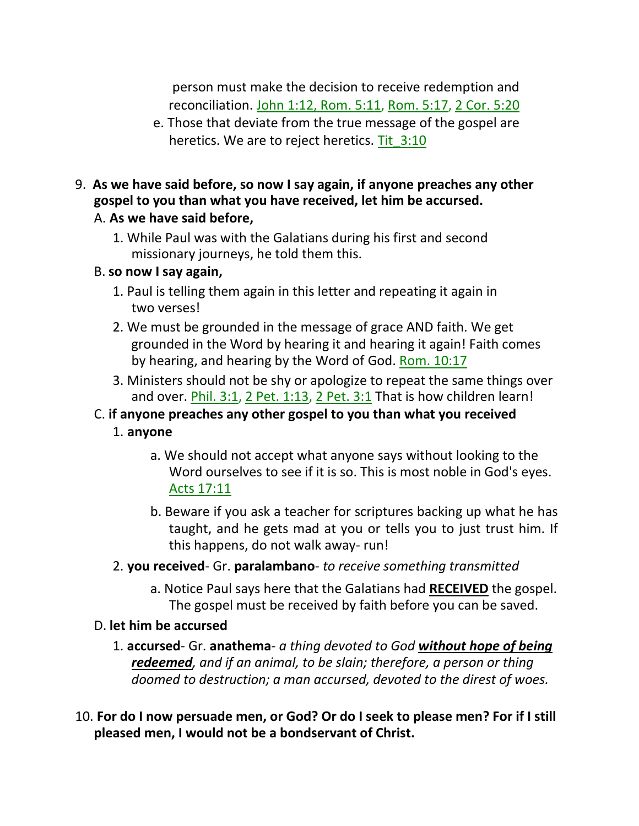person must make the decision to receive redemption and reconciliation. John 1:12, Rom. 5:11, Rom. 5:17, 2 Cor. 5:20

- e. Those that deviate from the true message of the gospel are heretics. We are to reject heretics. Tit\_3:10
- 9. **As we have said before, so now I say again, if anyone preaches any other gospel to you than what you have received, let him be accursed.**

#### A. **As we have said before,**

1. While Paul was with the Galatians during his first and second missionary journeys, he told them this.

#### B. **so now I say again,**

- 1. Paul is telling them again in this letter and repeating it again in two verses!
- 2. We must be grounded in the message of grace AND faith. We get grounded in the Word by hearing it and hearing it again! Faith comes by hearing, and hearing by the Word of God. Rom. 10:17
- 3. Ministers should not be shy or apologize to repeat the same things over and over. Phil. 3:1, 2 Pet. 1:13, 2 Pet. 3:1 That is how children learn!
- C. **if anyone preaches any other gospel to you than what you received**
	- 1. **anyone**
		- a. We should not accept what anyone says without looking to the Word ourselves to see if it is so. This is most noble in God's eyes. Acts 17:11
		- b. Beware if you ask a teacher for scriptures backing up what he has taught, and he gets mad at you or tells you to just trust him. If this happens, do not walk away- run!
	- 2. **you received** Gr. **paralambano** *to receive something transmitted*
		- a. Notice Paul says here that the Galatians had **RECEIVED** the gospel. The gospel must be received by faith before you can be saved.

### D. **let him be accursed**

- 1. **accursed** Gr. **anathema** *a thing devoted to God without hope of being redeemed, and if an animal, to be slain; therefore, a person or thing doomed to destruction; a man accursed, devoted to the direst of woes.*
- 10. **For do I now persuade men, or God? Or do I seek to please men? For if I still pleased men, I would not be a bondservant of Christ.**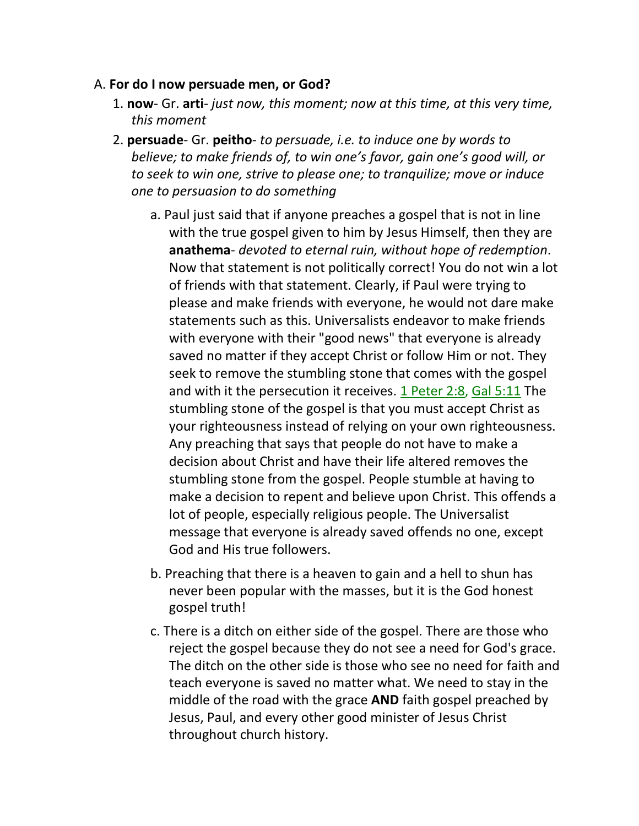#### A. **For do I now persuade men, or God?**

- 1. **now** Gr. **arti** *just now, this moment; now at this time, at this very time, this moment*
- 2. **persuade** Gr. **peitho** *to persuade, i.e. to induce one by words to believe; to make friends of, to win one's favor, gain one's good will, or to seek to win one, strive to please one; to tranquilize; move or induce one to persuasion to do something*
	- a. Paul just said that if anyone preaches a gospel that is not in line with the true gospel given to him by Jesus Himself, then they are **anathema**- *devoted to eternal ruin, without hope of redemption*. Now that statement is not politically correct! You do not win a lot of friends with that statement. Clearly, if Paul were trying to please and make friends with everyone, he would not dare make statements such as this. Universalists endeavor to make friends with everyone with their "good news" that everyone is already saved no matter if they accept Christ or follow Him or not. They seek to remove the stumbling stone that comes with the gospel and with it the persecution it receives. 1 Peter 2:8, Gal 5:11 The stumbling stone of the gospel is that you must accept Christ as your righteousness instead of relying on your own righteousness. Any preaching that says that people do not have to make a decision about Christ and have their life altered removes the stumbling stone from the gospel. People stumble at having to make a decision to repent and believe upon Christ. This offends a lot of people, especially religious people. The Universalist message that everyone is already saved offends no one, except God and His true followers.
	- b. Preaching that there is a heaven to gain and a hell to shun has never been popular with the masses, but it is the God honest gospel truth!
	- c. There is a ditch on either side of the gospel. There are those who reject the gospel because they do not see a need for God's grace. The ditch on the other side is those who see no need for faith and teach everyone is saved no matter what. We need to stay in the middle of the road with the grace **AND** faith gospel preached by Jesus, Paul, and every other good minister of Jesus Christ throughout church history.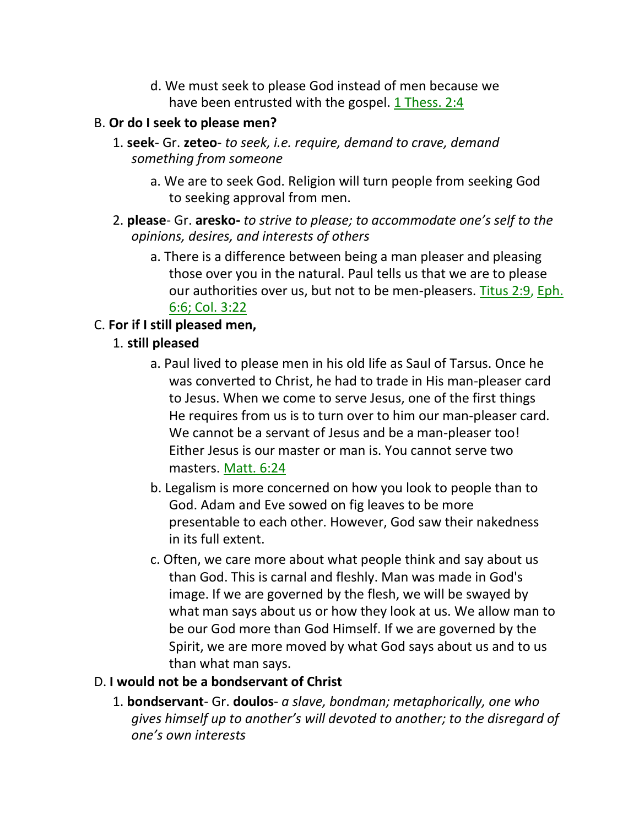d. We must seek to please God instead of men because we have been entrusted with the gospel. 1 Thess. 2:4

#### B. **Or do I seek to please men?**

- 1. **seek** Gr. **zeteo** *to seek, i.e. require, demand to crave, demand something from someone*
	- a. We are to seek God. Religion will turn people from seeking God to seeking approval from men.
- 2. **please** Gr. **aresko-** *to strive to please; to accommodate one's self to the opinions, desires, and interests of others*
	- a. There is a difference between being a man pleaser and pleasing those over you in the natural. Paul tells us that we are to please our authorities over us, but not to be men-pleasers. Titus 2:9, Eph. 6:6; Col. 3:22

#### C. **For if I still pleased men,**

### 1. **still pleased**

- a. Paul lived to please men in his old life as Saul of Tarsus. Once he was converted to Christ, he had to trade in His man-pleaser card to Jesus. When we come to serve Jesus, one of the first things He requires from us is to turn over to him our man-pleaser card. We cannot be a servant of Jesus and be a man-pleaser too! Either Jesus is our master or man is. You cannot serve two masters. Matt. 6:24
- b. Legalism is more concerned on how you look to people than to God. Adam and Eve sowed on fig leaves to be more presentable to each other. However, God saw their nakedness in its full extent.
- c. Often, we care more about what people think and say about us than God. This is carnal and fleshly. Man was made in God's image. If we are governed by the flesh, we will be swayed by what man says about us or how they look at us. We allow man to be our God more than God Himself. If we are governed by the Spirit, we are more moved by what God says about us and to us than what man says.

#### D. **I would not be a bondservant of Christ**

1. **bondservant**- Gr. **doulos**- *a slave, bondman; metaphorically, one who gives himself up to another's will devoted to another; to the disregard of one's own interests*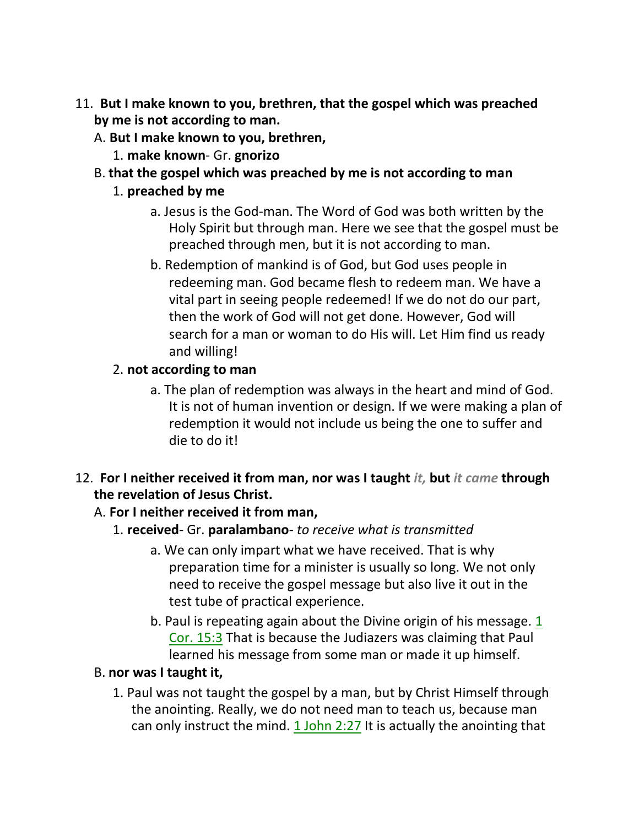- 11. **But I make known to you, brethren, that the gospel which was preached by me is not according to man.**
	- A. **But I make known to you, brethren,**
		- 1. **make known** Gr. **gnorizo**
	- B. **that the gospel which was preached by me is not according to man**
		- 1. **preached by me**
			- a. Jesus is the God-man. The Word of God was both written by the Holy Spirit but through man. Here we see that the gospel must be preached through men, but it is not according to man.
			- b. Redemption of mankind is of God, but God uses people in redeeming man. God became flesh to redeem man. We have a vital part in seeing people redeemed! If we do not do our part, then the work of God will not get done. However, God will search for a man or woman to do His will. Let Him find us ready and willing!

## 2. **not according to man**

- a. The plan of redemption was always in the heart and mind of God. It is not of human invention or design. If we were making a plan of redemption it would not include us being the one to suffer and die to do it!
- 12. **For I neither received it from man, nor was I taught** *it,* **but** *it came* **through the revelation of Jesus Christ.**

## A. **For I neither received it from man,**

- 1. **received** Gr. **paralambano** *to receive what is transmitted*
	- a. We can only impart what we have received. That is why preparation time for a minister is usually so long. We not only need to receive the gospel message but also live it out in the test tube of practical experience.
	- b. Paul is repeating again about the Divine origin of his message. 1 Cor. 15:3 That is because the Judiazers was claiming that Paul learned his message from some man or made it up himself.

## B. **nor was I taught it,**

1. Paul was not taught the gospel by a man, but by Christ Himself through the anointing. Really, we do not need man to teach us, because man can only instruct the mind. 1 John 2:27 It is actually the anointing that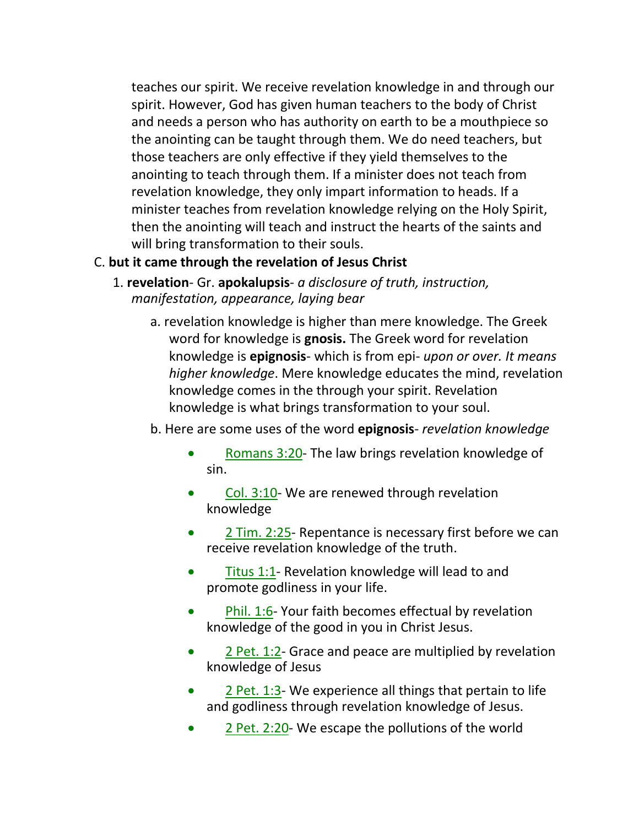teaches our spirit. We receive revelation knowledge in and through our spirit. However, God has given human teachers to the body of Christ and needs a person who has authority on earth to be a mouthpiece so the anointing can be taught through them. We do need teachers, but those teachers are only effective if they yield themselves to the anointing to teach through them. If a minister does not teach from revelation knowledge, they only impart information to heads. If a minister teaches from revelation knowledge relying on the Holy Spirit, then the anointing will teach and instruct the hearts of the saints and will bring transformation to their souls.

### C. **but it came through the revelation of Jesus Christ**

- 1. **revelation** Gr. **apokalupsis** *a disclosure of truth, instruction, manifestation, appearance, laying bear*
	- a. revelation knowledge is higher than mere knowledge. The Greek word for knowledge is **gnosis.** The Greek word for revelation knowledge is **epignosis**- which is from epi- *upon or over. It means higher knowledge*. Mere knowledge educates the mind, revelation knowledge comes in the through your spirit. Revelation knowledge is what brings transformation to your soul.
	- b. Here are some uses of the word **epignosis** *revelation knowledge*
		- Romans 3:20- The law brings revelation knowledge of sin.
		- Col. 3:10- We are renewed through revelation knowledge
		- 2 Tim. 2:25- Repentance is necessary first before we can receive revelation knowledge of the truth.
		- Titus 1:1- Revelation knowledge will lead to and promote godliness in your life.
		- Phil. 1:6- Your faith becomes effectual by revelation knowledge of the good in you in Christ Jesus.
		- $2$  Pet. 1:2- Grace and peace are multiplied by revelation knowledge of Jesus
		- 2 Pet. 1:3- We experience all things that pertain to life and godliness through revelation knowledge of Jesus.
		- 2 Pet. 2:20- We escape the pollutions of the world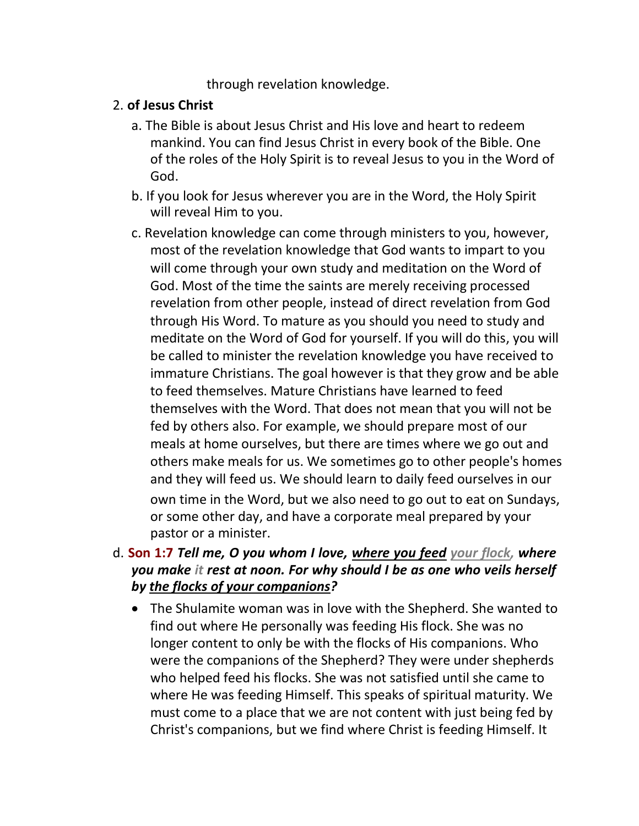through revelation knowledge.

### 2. **of Jesus Christ**

- a. The Bible is about Jesus Christ and His love and heart to redeem mankind. You can find Jesus Christ in every book of the Bible. One of the roles of the Holy Spirit is to reveal Jesus to you in the Word of God.
- b. If you look for Jesus wherever you are in the Word, the Holy Spirit will reveal Him to you.
- c. Revelation knowledge can come through ministers to you, however, most of the revelation knowledge that God wants to impart to you will come through your own study and meditation on the Word of God. Most of the time the saints are merely receiving processed revelation from other people, instead of direct revelation from God through His Word. To mature as you should you need to study and meditate on the Word of God for yourself. If you will do this, you will be called to minister the revelation knowledge you have received to immature Christians. The goal however is that they grow and be able to feed themselves. Mature Christians have learned to feed themselves with the Word. That does not mean that you will not be fed by others also. For example, we should prepare most of our meals at home ourselves, but there are times where we go out and others make meals for us. We sometimes go to other people's homes and they will feed us. We should learn to daily feed ourselves in our own time in the Word, but we also need to go out to eat on Sundays, or some other day, and have a corporate meal prepared by your pastor or a minister.
- d. **Son 1:7** *Tell me, O you whom I love, where you feed your flock, where you make it rest at noon. For why should I be as one who veils herself by the flocks of your companions?*
	- The Shulamite woman was in love with the Shepherd. She wanted to find out where He personally was feeding His flock. She was no longer content to only be with the flocks of His companions. Who were the companions of the Shepherd? They were under shepherds who helped feed his flocks. She was not satisfied until she came to where He was feeding Himself. This speaks of spiritual maturity. We must come to a place that we are not content with just being fed by Christ's companions, but we find where Christ is feeding Himself. It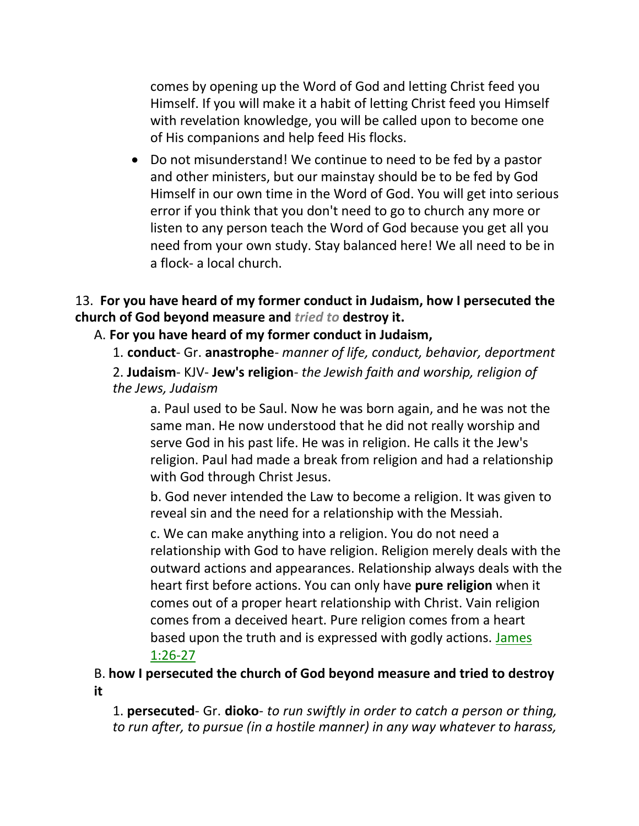comes by opening up the Word of God and letting Christ feed you Himself. If you will make it a habit of letting Christ feed you Himself with revelation knowledge, you will be called upon to become one of His companions and help feed His flocks.

• Do not misunderstand! We continue to need to be fed by a pastor and other ministers, but our mainstay should be to be fed by God Himself in our own time in the Word of God. You will get into serious error if you think that you don't need to go to church any more or listen to any person teach the Word of God because you get all you need from your own study. Stay balanced here! We all need to be in a flock- a local church.

### 13. **For you have heard of my former conduct in Judaism, how I persecuted the church of God beyond measure and** *tried to* **destroy it.**

### A. **For you have heard of my former conduct in Judaism,**

1. **conduct**- Gr. **anastrophe**- *manner of life, conduct, behavior, deportment*

2. **Judaism**- KJV- **Jew's religion**- *the Jewish faith and worship, religion of the Jews, Judaism*

a. Paul used to be Saul. Now he was born again, and he was not the same man. He now understood that he did not really worship and serve God in his past life. He was in religion. He calls it the Jew's religion. Paul had made a break from religion and had a relationship with God through Christ Jesus.

b. God never intended the Law to become a religion. It was given to reveal sin and the need for a relationship with the Messiah.

c. We can make anything into a religion. You do not need a relationship with God to have religion. Religion merely deals with the outward actions and appearances. Relationship always deals with the heart first before actions. You can only have **pure religion** when it comes out of a proper heart relationship with Christ. Vain religion comes from a deceived heart. Pure religion comes from a heart based upon the truth and is expressed with godly actions. James 1:26-27

## B. **how I persecuted the church of God beyond measure and tried to destroy it**

1. **persecuted**- Gr. **dioko**- *to run swiftly in order to catch a person or thing, to run after, to pursue (in a hostile manner) in any way whatever to harass,*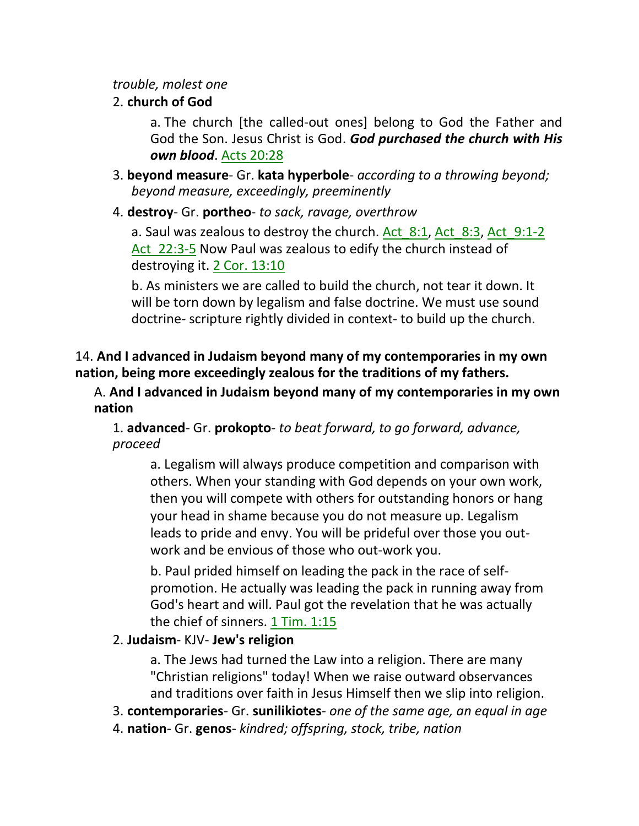#### *trouble, molest one*

### 2. **church of God**

a. The church [the called-out ones] belong to God the Father and God the Son. Jesus Christ is God. *God purchased the church with His own blood*. Acts 20:28

- 3. **beyond measure** Gr. **kata hyperbole** *according to a throwing beyond; beyond measure, exceedingly, preeminently*
- 4. **destroy** Gr. **portheo** *to sack, ravage, overthrow*

a. Saul was zealous to destroy the church. Act 8:1, Act 8:3, Act 9:1-2 Act 22:3-5 Now Paul was zealous to edify the church instead of destroying it. 2 Cor. 13:10

b. As ministers we are called to build the church, not tear it down. It will be torn down by legalism and false doctrine. We must use sound doctrine- scripture rightly divided in context- to build up the church.

### 14. **And I advanced in Judaism beyond many of my contemporaries in my own nation, being more exceedingly zealous for the traditions of my fathers.**

A. **And I advanced in Judaism beyond many of my contemporaries in my own nation**

### 1. **advanced**- Gr. **prokopto**- *to beat forward, to go forward, advance, proceed*

a. Legalism will always produce competition and comparison with others. When your standing with God depends on your own work, then you will compete with others for outstanding honors or hang your head in shame because you do not measure up. Legalism leads to pride and envy. You will be prideful over those you outwork and be envious of those who out-work you.

b. Paul prided himself on leading the pack in the race of selfpromotion. He actually was leading the pack in running away from God's heart and will. Paul got the revelation that he was actually the chief of sinners. 1 Tim. 1:15

## 2. **Judaism**- KJV- **Jew's religion**

a. The Jews had turned the Law into a religion. There are many "Christian religions" today! When we raise outward observances and traditions over faith in Jesus Himself then we slip into religion.

- 3. **contemporaries** Gr. **sunilikiotes** *one of the same age, an equal in age*
- 4. **nation** Gr. **genos** *kindred; offspring, stock, tribe, nation*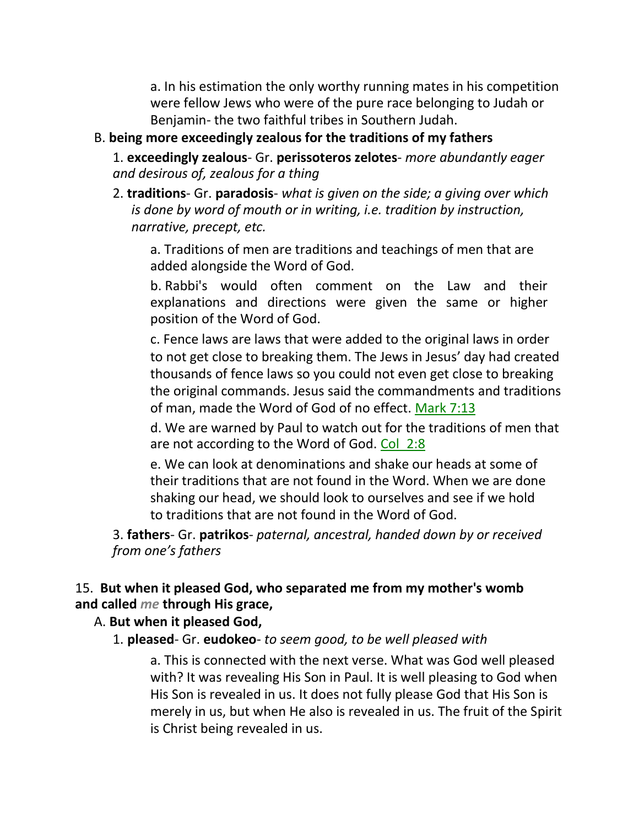a. In his estimation the only worthy running mates in his competition were fellow Jews who were of the pure race belonging to Judah or Benjamin- the two faithful tribes in Southern Judah.

#### B. **being more exceedingly zealous for the traditions of my fathers**

1. **exceedingly zealous**- Gr. **perissoteros zelotes**- *more abundantly eager and desirous of, zealous for a thing*

2. **traditions**- Gr. **paradosis**- *what is given on the side; a giving over which is done by word of mouth or in writing, i.e. tradition by instruction, narrative, precept, etc.*

a. Traditions of men are traditions and teachings of men that are added alongside the Word of God.

b. Rabbi's would often comment on the Law and their explanations and directions were given the same or higher position of the Word of God.

c. Fence laws are laws that were added to the original laws in order to not get close to breaking them. The Jews in Jesus' day had created thousands of fence laws so you could not even get close to breaking the original commands. Jesus said the commandments and traditions of man, made the Word of God of no effect. Mark 7:13

d. We are warned by Paul to watch out for the traditions of men that are not according to the Word of God. Col\_2:8

e. We can look at denominations and shake our heads at some of their traditions that are not found in the Word. When we are done shaking our head, we should look to ourselves and see if we hold to traditions that are not found in the Word of God.

3. **fathers**- Gr. **patrikos**- *paternal, ancestral, handed down by or received from one's fathers*

### 15. **But when it pleased God, who separated me from my mother's womb and called** *me* **through His grace,**

### A. **But when it pleased God,**

1. **pleased**- Gr. **eudokeo**- *to seem good, to be well pleased with*

a. This is connected with the next verse. What was God well pleased with? It was revealing His Son in Paul. It is well pleasing to God when His Son is revealed in us. It does not fully please God that His Son is merely in us, but when He also is revealed in us. The fruit of the Spirit is Christ being revealed in us.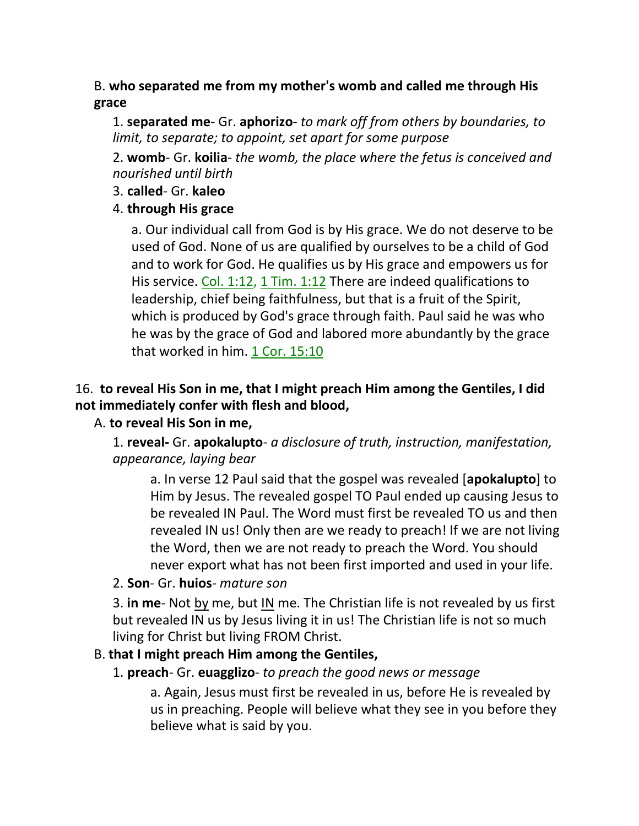## B. **who separated me from my mother's womb and called me through His grace**

1. **separated me**- Gr. **aphorizo**- *to mark off from others by boundaries, to limit, to separate; to appoint, set apart for some purpose*

2. **womb**- Gr. **koilia**- *the womb, the place where the fetus is conceived and nourished until birth*

3. **called**- Gr. **kaleo**

## 4. **through His grace**

a. Our individual call from God is by His grace. We do not deserve to be used of God. None of us are qualified by ourselves to be a child of God and to work for God. He qualifies us by His grace and empowers us for His service. Col. 1:12, 1 Tim. 1:12 There are indeed qualifications to leadership, chief being faithfulness, but that is a fruit of the Spirit, which is produced by God's grace through faith. Paul said he was who he was by the grace of God and labored more abundantly by the grace that worked in him. 1 Cor. 15:10

# 16. **to reveal His Son in me, that I might preach Him among the Gentiles, I did not immediately confer with flesh and blood,**

## A. **to reveal His Son in me,**

1. **reveal-** Gr. **apokalupto**- *a disclosure of truth, instruction, manifestation, appearance, laying bear*

a. In verse 12 Paul said that the gospel was revealed [**apokalupto**] to Him by Jesus. The revealed gospel TO Paul ended up causing Jesus to be revealed IN Paul. The Word must first be revealed TO us and then revealed IN us! Only then are we ready to preach! If we are not living the Word, then we are not ready to preach the Word. You should never export what has not been first imported and used in your life.

2. **Son**- Gr. **huios**- *mature son*

3. **in me**- Not by me, but IN me. The Christian life is not revealed by us first but revealed IN us by Jesus living it in us! The Christian life is not so much living for Christ but living FROM Christ.

## B. **that I might preach Him among the Gentiles,**

1. **preach**- Gr. **euagglizo**- *to preach the good news or message*

a. Again, Jesus must first be revealed in us, before He is revealed by us in preaching. People will believe what they see in you before they believe what is said by you.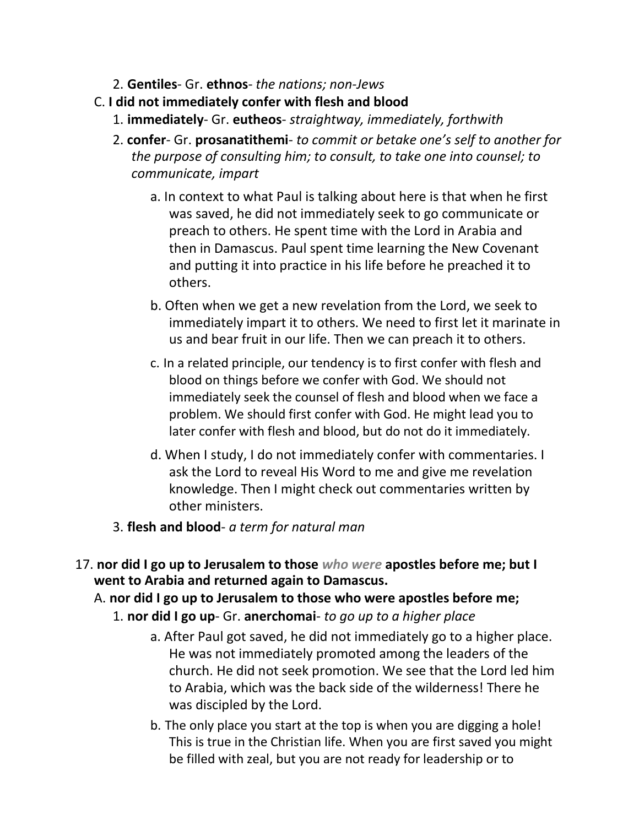- 2. **Gentiles** Gr. **ethnos** *the nations; non-Jews*
- C. **I did not immediately confer with flesh and blood**
	- 1. **immediately** Gr. **eutheos** *straightway, immediately, forthwith*
	- 2. **confer** Gr. **prosanatithemi** *to commit or betake one's self to another for the purpose of consulting him; to consult, to take one into counsel; to communicate, impart*
		- a. In context to what Paul is talking about here is that when he first was saved, he did not immediately seek to go communicate or preach to others. He spent time with the Lord in Arabia and then in Damascus. Paul spent time learning the New Covenant and putting it into practice in his life before he preached it to others.
		- b. Often when we get a new revelation from the Lord, we seek to immediately impart it to others. We need to first let it marinate in us and bear fruit in our life. Then we can preach it to others.
		- c. In a related principle, our tendency is to first confer with flesh and blood on things before we confer with God. We should not immediately seek the counsel of flesh and blood when we face a problem. We should first confer with God. He might lead you to later confer with flesh and blood, but do not do it immediately.
		- d. When I study, I do not immediately confer with commentaries. I ask the Lord to reveal His Word to me and give me revelation knowledge. Then I might check out commentaries written by other ministers.
	- 3. **flesh and blood** *a term for natural man*
- 17. **nor did I go up to Jerusalem to those** *who were* **apostles before me; but I went to Arabia and returned again to Damascus.**
	- A. **nor did I go up to Jerusalem to those who were apostles before me;**
		- 1. **nor did I go up** Gr. **anerchomai** *to go up to a higher place*
			- a. After Paul got saved, he did not immediately go to a higher place. He was not immediately promoted among the leaders of the church. He did not seek promotion. We see that the Lord led him to Arabia, which was the back side of the wilderness! There he was discipled by the Lord.
			- b. The only place you start at the top is when you are digging a hole! This is true in the Christian life. When you are first saved you might be filled with zeal, but you are not ready for leadership or to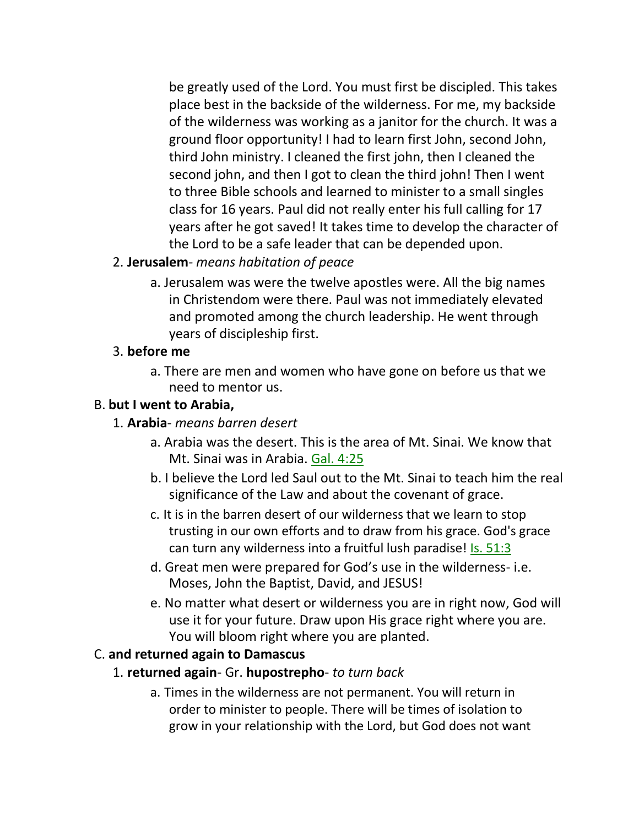be greatly used of the Lord. You must first be discipled. This takes place best in the backside of the wilderness. For me, my backside of the wilderness was working as a janitor for the church. It was a ground floor opportunity! I had to learn first John, second John, third John ministry. I cleaned the first john, then I cleaned the second john, and then I got to clean the third john! Then I went to three Bible schools and learned to minister to a small singles class for 16 years. Paul did not really enter his full calling for 17 years after he got saved! It takes time to develop the character of the Lord to be a safe leader that can be depended upon.

- 2. **Jerusalem** *means habitation of peace*
	- a. Jerusalem was were the twelve apostles were. All the big names in Christendom were there. Paul was not immediately elevated and promoted among the church leadership. He went through years of discipleship first.

### 3. **before me**

a. There are men and women who have gone on before us that we need to mentor us.

## B. **but I went to Arabia,**

### 1. **Arabia**- *means barren desert*

- a. Arabia was the desert. This is the area of Mt. Sinai. We know that Mt. Sinai was in Arabia. Gal. 4:25
- b. I believe the Lord led Saul out to the Mt. Sinai to teach him the real significance of the Law and about the covenant of grace.
- c. It is in the barren desert of our wilderness that we learn to stop trusting in our own efforts and to draw from his grace. God's grace can turn any wilderness into a fruitful lush paradise! Is. 51:3
- d. Great men were prepared for God's use in the wilderness- i.e. Moses, John the Baptist, David, and JESUS!
- e. No matter what desert or wilderness you are in right now, God will use it for your future. Draw upon His grace right where you are. You will bloom right where you are planted.

## C. **and returned again to Damascus**

## 1. **returned again**- Gr. **hupostrepho**- *to turn back*

a. Times in the wilderness are not permanent. You will return in order to minister to people. There will be times of isolation to grow in your relationship with the Lord, but God does not want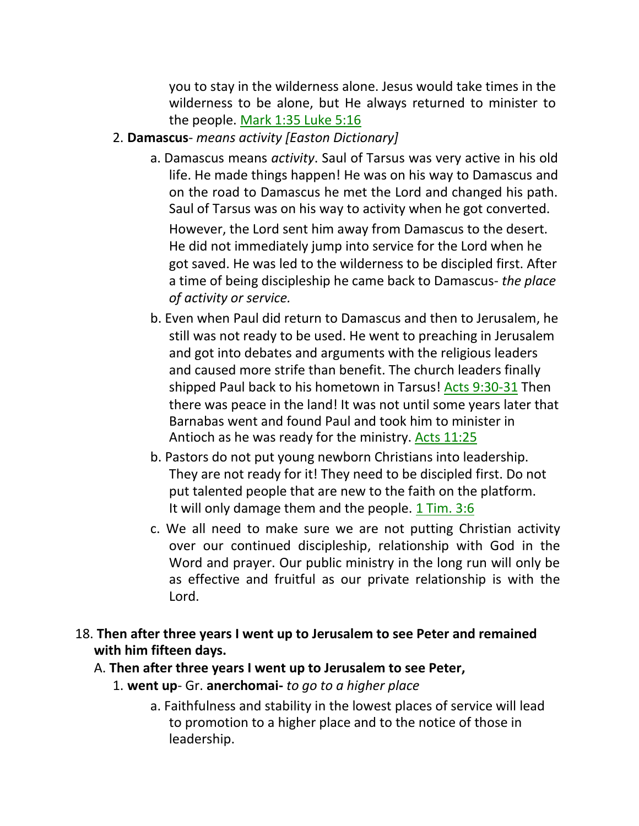you to stay in the wilderness alone. Jesus would take times in the wilderness to be alone, but He always returned to minister to the people. Mark 1:35 Luke 5:16

### 2. **Damascus**- *means activity [Easton Dictionary]*

- a. Damascus means *activity*. Saul of Tarsus was very active in his old life. He made things happen! He was on his way to Damascus and on the road to Damascus he met the Lord and changed his path. Saul of Tarsus was on his way to activity when he got converted. However, the Lord sent him away from Damascus to the desert. He did not immediately jump into service for the Lord when he got saved. He was led to the wilderness to be discipled first. After a time of being discipleship he came back to Damascus- *the place of activity or service.*
- b. Even when Paul did return to Damascus and then to Jerusalem, he still was not ready to be used. He went to preaching in Jerusalem and got into debates and arguments with the religious leaders and caused more strife than benefit. The church leaders finally shipped Paul back to his hometown in Tarsus! Acts 9:30-31 Then there was peace in the land! It was not until some years later that Barnabas went and found Paul and took him to minister in Antioch as he was ready for the ministry. Acts 11:25
- b. Pastors do not put young newborn Christians into leadership. They are not ready for it! They need to be discipled first. Do not put talented people that are new to the faith on the platform. It will only damage them and the people. 1 Tim. 3:6
- c. We all need to make sure we are not putting Christian activity over our continued discipleship, relationship with God in the Word and prayer. Our public ministry in the long run will only be as effective and fruitful as our private relationship is with the Lord.

### 18. **Then after three years I went up to Jerusalem to see Peter and remained with him fifteen days.**

### A. **Then after three years I went up to Jerusalem to see Peter,**

## 1. **went up**- Gr. **anerchomai-** *to go to a higher place*

a. Faithfulness and stability in the lowest places of service will lead to promotion to a higher place and to the notice of those in leadership.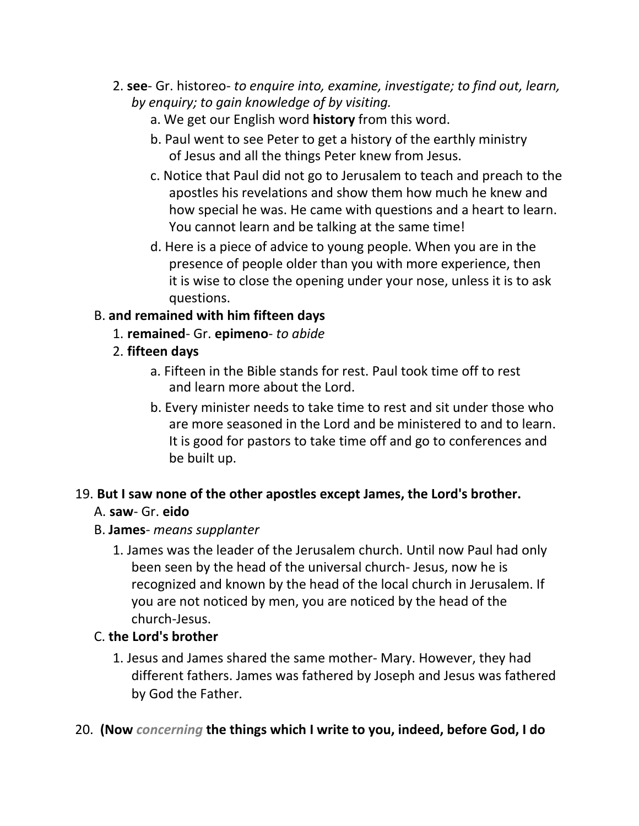- 2. **see** Gr. historeo- *to enquire into, examine, investigate; to find out, learn, by enquiry; to gain knowledge of by visiting.*
	- a. We get our English word **history** from this word.
	- b. Paul went to see Peter to get a history of the earthly ministry of Jesus and all the things Peter knew from Jesus.
	- c. Notice that Paul did not go to Jerusalem to teach and preach to the apostles his revelations and show them how much he knew and how special he was. He came with questions and a heart to learn. You cannot learn and be talking at the same time!
	- d. Here is a piece of advice to young people. When you are in the presence of people older than you with more experience, then it is wise to close the opening under your nose, unless it is to ask questions.

## B. **and remained with him fifteen days**

- 1. **remained** Gr. **epimeno** *to abide*
- 2. **fifteen days**
	- a. Fifteen in the Bible stands for rest. Paul took time off to rest and learn more about the Lord.
	- b. Every minister needs to take time to rest and sit under those who are more seasoned in the Lord and be ministered to and to learn. It is good for pastors to take time off and go to conferences and be built up.

# 19. **But I saw none of the other apostles except James, the Lord's brother.**

## A. **saw**- Gr. **eido**

## B. **James**- *means supplanter*

1. James was the leader of the Jerusalem church. Until now Paul had only been seen by the head of the universal church- Jesus, now he is recognized and known by the head of the local church in Jerusalem. If you are not noticed by men, you are noticed by the head of the church-Jesus.

## C. **the Lord's brother**

1. Jesus and James shared the same mother- Mary. However, they had different fathers. James was fathered by Joseph and Jesus was fathered by God the Father.

## 20. **(Now** *concerning* **the things which I write to you, indeed, before God, I do**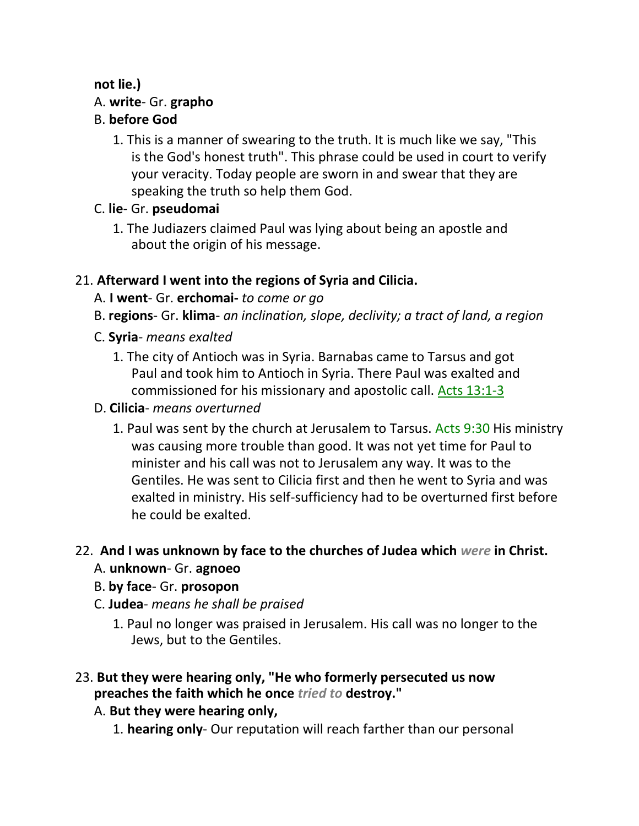# **not lie.)**

# A. **write**- Gr. **grapho**

# B. **before God**

1. This is a manner of swearing to the truth. It is much like we say, "This is the God's honest truth". This phrase could be used in court to verify your veracity. Today people are sworn in and swear that they are speaking the truth so help them God.

# C. **lie**- Gr. **pseudomai**

1. The Judiazers claimed Paul was lying about being an apostle and about the origin of his message.

# 21. **Afterward I went into the regions of Syria and Cilicia.**

- A. **I went** Gr. **erchomai-** *to come or go*
- B. **regions** Gr. **klima** *an inclination, slope, declivity; a tract of land, a region*
- C. **Syria** *means exalted*
	- 1. The city of Antioch was in Syria. Barnabas came to Tarsus and got Paul and took him to Antioch in Syria. There Paul was exalted and commissioned for his missionary and apostolic call. Acts 13:1-3
- D. **Cilicia** *means overturned*
	- 1. Paul was sent by the church at Jerusalem to Tarsus. Acts 9:30 His ministry was causing more trouble than good. It was not yet time for Paul to minister and his call was not to Jerusalem any way. It was to the Gentiles. He was sent to Cilicia first and then he went to Syria and was exalted in ministry. His self-sufficiency had to be overturned first before he could be exalted.

## 22. **And I was unknown by face to the churches of Judea which** *were* **in Christ.**

## A. **unknown**- Gr. **agnoeo**

- B. **by face** Gr. **prosopon**
- C. **Judea** *means he shall be praised*
	- 1. Paul no longer was praised in Jerusalem. His call was no longer to the Jews, but to the Gentiles.

## 23. **But they were hearing only, "He who formerly persecuted us now preaches the faith which he once** *tried to* **destroy."**

- A. **But they were hearing only,**
	- 1. **hearing only** Our reputation will reach farther than our personal